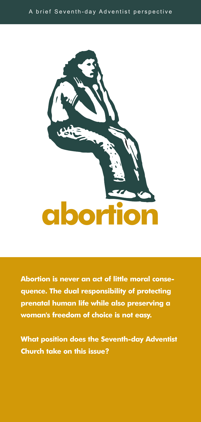

**Abortion is never an act of little moral consequence. The dual responsibility of protecting prenatal human life while also preserving a woman's freedom of choice is not easy.**

**What position does the Seventh-day Adventist Church take on this issue?**